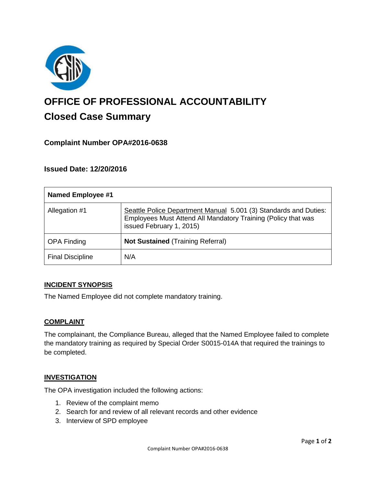

# **OFFICE OF PROFESSIONAL ACCOUNTABILITY Closed Case Summary**

## **Complaint Number OPA#2016-0638**

## **Issued Date: 12/20/2016**

| <b>Named Employee #1</b> |                                                                                                                                                               |
|--------------------------|---------------------------------------------------------------------------------------------------------------------------------------------------------------|
| Allegation #1            | Seattle Police Department Manual 5.001 (3) Standards and Duties:<br>Employees Must Attend All Mandatory Training (Policy that was<br>issued February 1, 2015) |
| <b>OPA Finding</b>       | <b>Not Sustained (Training Referral)</b>                                                                                                                      |
| <b>Final Discipline</b>  | N/A                                                                                                                                                           |

### **INCIDENT SYNOPSIS**

The Named Employee did not complete mandatory training.

### **COMPLAINT**

The complainant, the Compliance Bureau, alleged that the Named Employee failed to complete the mandatory training as required by Special Order S0015-014A that required the trainings to be completed.

### **INVESTIGATION**

The OPA investigation included the following actions:

- 1. Review of the complaint memo
- 2. Search for and review of all relevant records and other evidence
- 3. Interview of SPD employee